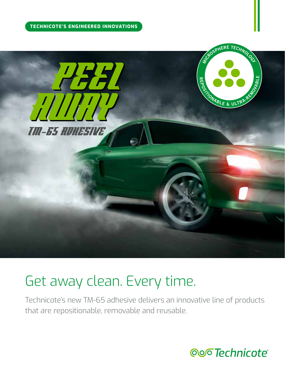#### **TECHNICOTE'S ENGINEERED INNOVATIONS**



# Get away clean. Every time.

Technicote's new TM-65 adhesive delivers an innovative line of products that are repositionable, removable and reusable.

**Qoo Technicote**